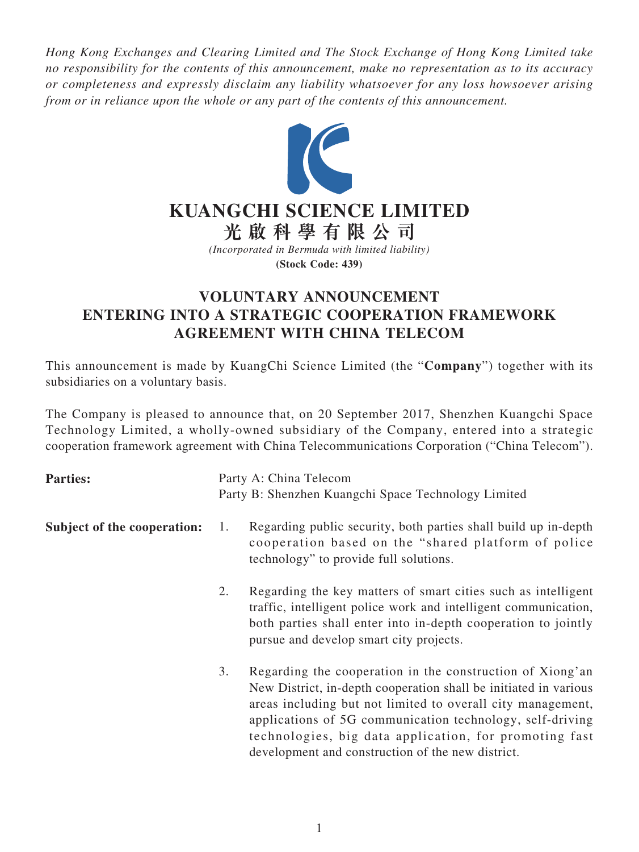*Hong Kong Exchanges and Clearing Limited and The Stock Exchange of Hong Kong Limited take no responsibility for the contents of this announcement, make no representation as to its accuracy or completeness and expressly disclaim any liability whatsoever for any loss howsoever arising from or in reliance upon the whole or any part of the contents of this announcement.*



## **VOLUNTARY ANNOUNCEMENT ENTERING INTO A STRATEGIC COOPERATION FRAMEWORK AGREEMENT WITH CHINA TELECOM**

This announcement is made by KuangChi Science Limited (the "**Company**") together with its subsidiaries on a voluntary basis.

The Company is pleased to announce that, on 20 September 2017, Shenzhen Kuangchi Space Technology Limited, a wholly-owned subsidiary of the Company, entered into a strategic cooperation framework agreement with China Telecommunications Corporation ("China Telecom").

| <b>Parties:</b>             | Party A: China Telecom |                                                                                                                                                                                                                                                                                                                                                                          |
|-----------------------------|------------------------|--------------------------------------------------------------------------------------------------------------------------------------------------------------------------------------------------------------------------------------------------------------------------------------------------------------------------------------------------------------------------|
|                             |                        | Party B: Shenzhen Kuangchi Space Technology Limited                                                                                                                                                                                                                                                                                                                      |
| Subject of the cooperation: | 1.                     | Regarding public security, both parties shall build up in-depth<br>cooperation based on the "shared platform of police<br>technology" to provide full solutions.                                                                                                                                                                                                         |
|                             | 2.                     | Regarding the key matters of smart cities such as intelligent<br>traffic, intelligent police work and intelligent communication,<br>both parties shall enter into in-depth cooperation to jointly<br>pursue and develop smart city projects.                                                                                                                             |
|                             | 3.                     | Regarding the cooperation in the construction of Xiong'an<br>New District, in-depth cooperation shall be initiated in various<br>areas including but not limited to overall city management,<br>applications of 5G communication technology, self-driving<br>technologies, big data application, for promoting fast<br>development and construction of the new district. |